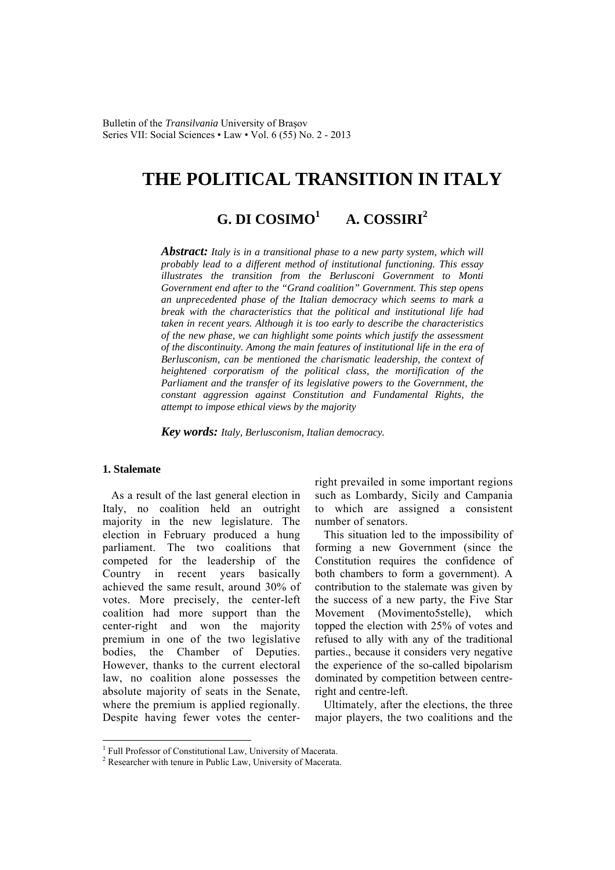Bulletin of the *Transilvania* University of Braşov Series VII: Social Sciences • Law • Vol. 6 (55) No. 2 - 2013

# **THE POLITICAL TRANSITION IN ITALY**

#### **G. DI COSIMO1 A. COSSIRI<sup>2</sup>**

*Abstract: Italy is in a transitional phase to a new party system, which will probably lead to a different method of institutional functioning. This essay illustrates the transition from the Berlusconi Government to Monti Government end after to the "Grand coalition" Government. This step opens an unprecedented phase of the Italian democracy which seems to mark a break with the characteristics that the political and institutional life had taken in recent years. Although it is too early to describe the characteristics of the new phase, we can highlight some points which justify the assessment of the discontinuity. Among the main features of institutional life in the era of Berlusconism, can be mentioned the charismatic leadership, the context of heightened corporatism of the political class, the mortification of the Parliament and the transfer of its legislative powers to the Government, the constant aggression against Constitution and Fundamental Rights, the attempt to impose ethical views by the majority* 

*Key words: Italy, Berlusconism, Italian democracy.* 

#### **1. Stalemate**

 $\overline{a}$ 

As a result of the last general election in Italy, no coalition held an outright majority in the new legislature. The election in February produced a hung parliament. The two coalitions that competed for the leadership of the Country in recent years basically achieved the same result, around 30% of votes. More precisely, the center-left coalition had more support than the center-right and won the majority premium in one of the two legislative bodies, the Chamber of Deputies. However, thanks to the current electoral law, no coalition alone possesses the absolute majority of seats in the Senate, where the premium is applied regionally. Despite having fewer votes the centerright prevailed in some important regions such as Lombardy, Sicily and Campania to which are assigned a consistent number of senators.

This situation led to the impossibility of forming a new Government (since the Constitution requires the confidence of both chambers to form a government). A contribution to the stalemate was given by the success of a new party, the Five Star Movement (Movimento5stelle), which topped the election with 25% of votes and refused to ally with any of the traditional parties., because it considers very negative the experience of the so-called bipolarism dominated by competition between centreright and centre-left.

Ultimately, after the elections, the three major players, the two coalitions and the

<sup>&</sup>lt;sup>1</sup> Full Professor of Constitutional Law, University of Macerata.

<sup>2</sup> Researcher with tenure in Public Law, University of Macerata.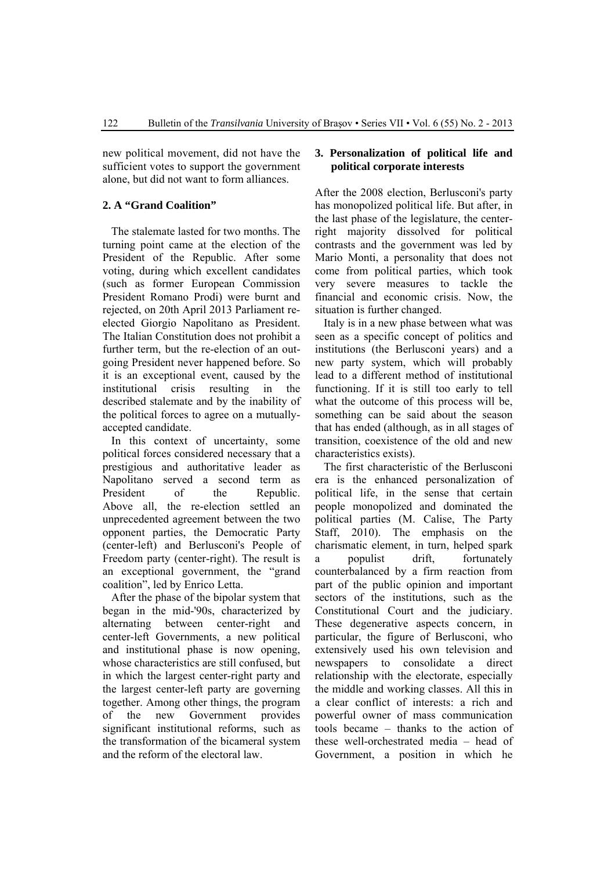new political movement, did not have the sufficient votes to support the government alone, but did not want to form alliances.

# **2. A "Grand Coalition"**

The stalemate lasted for two months. The turning point came at the election of the President of the Republic. After some voting, during which excellent candidates (such as former European Commission President Romano Prodi) were burnt and rejected, on 20th April 2013 Parliament reelected Giorgio Napolitano as President. The Italian Constitution does not prohibit a further term, but the re-election of an outgoing President never happened before. So it is an exceptional event, caused by the institutional crisis resulting in the described stalemate and by the inability of the political forces to agree on a mutuallyaccepted candidate.

In this context of uncertainty, some political forces considered necessary that a prestigious and authoritative leader as Napolitano served a second term as President of the Republic. Above all, the re-election settled an unprecedented agreement between the two opponent parties, the Democratic Party (center-left) and Berlusconi's People of Freedom party (center-right). The result is an exceptional government, the "grand coalition", led by Enrico Letta.

After the phase of the bipolar system that began in the mid-'90s, characterized by alternating between center-right and center-left Governments, a new political and institutional phase is now opening, whose characteristics are still confused, but in which the largest center-right party and the largest center-left party are governing together. Among other things, the program of the new Government provides significant institutional reforms, such as the transformation of the bicameral system and the reform of the electoral law.

# **3. Personalization of political life and political corporate interests**

After the 2008 election, Berlusconi's party has monopolized political life. But after, in the last phase of the legislature, the centerright majority dissolved for political contrasts and the government was led by Mario Monti, a personality that does not come from political parties, which took very severe measures to tackle the financial and economic crisis. Now, the situation is further changed.

Italy is in a new phase between what was seen as a specific concept of politics and institutions (the Berlusconi years) and a new party system, which will probably lead to a different method of institutional functioning. If it is still too early to tell what the outcome of this process will be, something can be said about the season that has ended (although, as in all stages of transition, coexistence of the old and new characteristics exists).

The first characteristic of the Berlusconi era is the enhanced personalization of political life, in the sense that certain people monopolized and dominated the political parties (M. Calise, The Party Staff, 2010). The emphasis on the charismatic element, in turn, helped spark a populist drift, fortunately counterbalanced by a firm reaction from part of the public opinion and important sectors of the institutions, such as the Constitutional Court and the judiciary. These degenerative aspects concern, in particular, the figure of Berlusconi, who extensively used his own television and newspapers to consolidate a direct relationship with the electorate, especially the middle and working classes. All this in a clear conflict of interests: a rich and powerful owner of mass communication tools became – thanks to the action of these well-orchestrated media – head of Government, a position in which he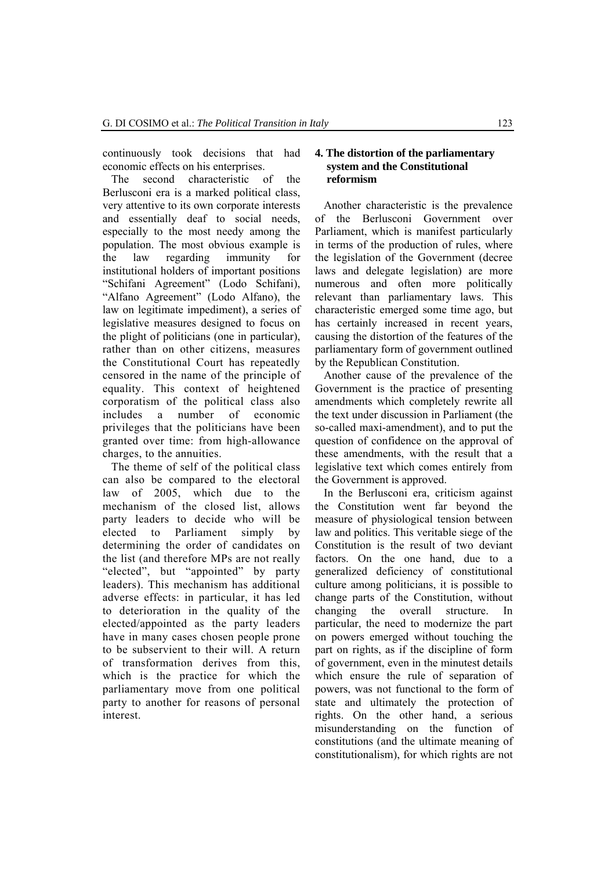continuously took decisions that had economic effects on his enterprises.

The second characteristic of the Berlusconi era is a marked political class, very attentive to its own corporate interests and essentially deaf to social needs, especially to the most needy among the population. The most obvious example is the law regarding immunity for institutional holders of important positions "Schifani Agreement" (Lodo Schifani), "Alfano Agreement" (Lodo Alfano), the law on legitimate impediment), a series of legislative measures designed to focus on the plight of politicians (one in particular), rather than on other citizens, measures the Constitutional Court has repeatedly censored in the name of the principle of equality. This context of heightened corporatism of the political class also includes a number of economic privileges that the politicians have been granted over time: from high-allowance charges, to the annuities.

The theme of self of the political class can also be compared to the electoral law of 2005, which due to the mechanism of the closed list, allows party leaders to decide who will be elected to Parliament simply by determining the order of candidates on the list (and therefore MPs are not really "elected", but "appointed" by party leaders). This mechanism has additional adverse effects: in particular, it has led to deterioration in the quality of the elected/appointed as the party leaders have in many cases chosen people prone to be subservient to their will. A return of transformation derives from this, which is the practice for which the parliamentary move from one political party to another for reasons of personal interest.

### **4. The distortion of the parliamentary system and the Constitutional reformism**

Another characteristic is the prevalence of the Berlusconi Government over Parliament, which is manifest particularly in terms of the production of rules, where the legislation of the Government (decree laws and delegate legislation) are more numerous and often more politically relevant than parliamentary laws. This characteristic emerged some time ago, but has certainly increased in recent years, causing the distortion of the features of the parliamentary form of government outlined by the Republican Constitution.

Another cause of the prevalence of the Government is the practice of presenting amendments which completely rewrite all the text under discussion in Parliament (the so-called maxi-amendment), and to put the question of confidence on the approval of these amendments, with the result that a legislative text which comes entirely from the Government is approved.

In the Berlusconi era, criticism against the Constitution went far beyond the measure of physiological tension between law and politics. This veritable siege of the Constitution is the result of two deviant factors. On the one hand, due to a generalized deficiency of constitutional culture among politicians, it is possible to change parts of the Constitution, without changing the overall structure. In particular, the need to modernize the part on powers emerged without touching the part on rights, as if the discipline of form of government, even in the minutest details which ensure the rule of separation of powers, was not functional to the form of state and ultimately the protection of rights. On the other hand, a serious misunderstanding on the function of constitutions (and the ultimate meaning of constitutionalism), for which rights are not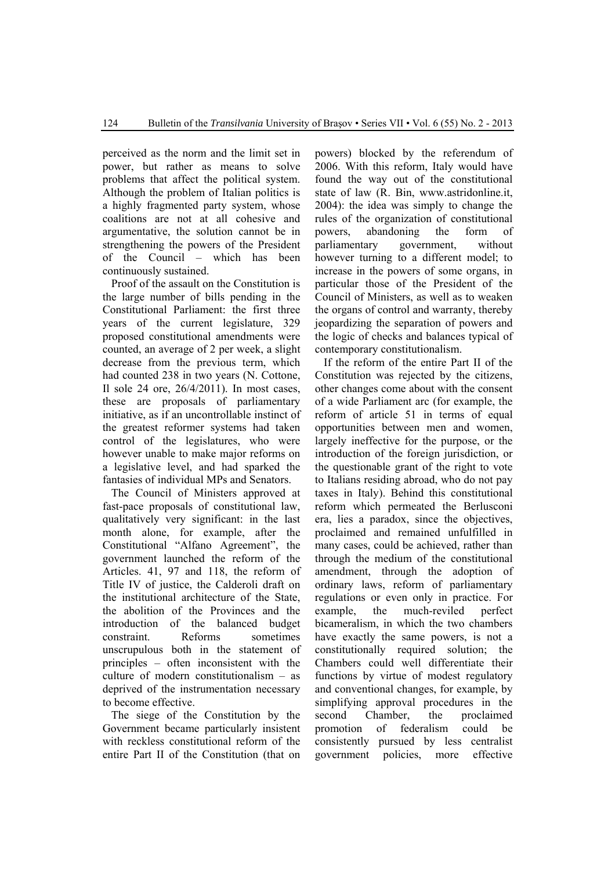perceived as the norm and the limit set in power, but rather as means to solve problems that affect the political system. Although the problem of Italian politics is a highly fragmented party system, whose coalitions are not at all cohesive and argumentative, the solution cannot be in strengthening the powers of the President of the Council – which has been continuously sustained.

Proof of the assault on the Constitution is the large number of bills pending in the Constitutional Parliament: the first three years of the current legislature, 329 proposed constitutional amendments were counted, an average of 2 per week, a slight decrease from the previous term, which had counted 238 in two years (N. Cottone, Il sole 24 ore, 26/4/2011). In most cases, these are proposals of parliamentary initiative, as if an uncontrollable instinct of the greatest reformer systems had taken control of the legislatures, who were however unable to make major reforms on a legislative level, and had sparked the fantasies of individual MPs and Senators.

The Council of Ministers approved at fast-pace proposals of constitutional law, qualitatively very significant: in the last month alone, for example, after the Constitutional "Alfano Agreement", the government launched the reform of the Articles. 41, 97 and 118, the reform of Title IV of justice, the Calderoli draft on the institutional architecture of the State, the abolition of the Provinces and the introduction of the balanced budget constraint. Reforms sometimes unscrupulous both in the statement of principles – often inconsistent with the culture of modern constitutionalism – as deprived of the instrumentation necessary to become effective.

The siege of the Constitution by the Government became particularly insistent with reckless constitutional reform of the entire Part II of the Constitution (that on

powers) blocked by the referendum of 2006. With this reform, Italy would have found the way out of the constitutional state of law (R. Bin, www.astridonline.it, 2004): the idea was simply to change the rules of the organization of constitutional powers, abandoning the form of parliamentary government, without however turning to a different model; to increase in the powers of some organs, in particular those of the President of the Council of Ministers, as well as to weaken the organs of control and warranty, thereby jeopardizing the separation of powers and the logic of checks and balances typical of contemporary constitutionalism.

If the reform of the entire Part II of the Constitution was rejected by the citizens, other changes come about with the consent of a wide Parliament arc (for example, the reform of article 51 in terms of equal opportunities between men and women, largely ineffective for the purpose, or the introduction of the foreign jurisdiction, or the questionable grant of the right to vote to Italians residing abroad, who do not pay taxes in Italy). Behind this constitutional reform which permeated the Berlusconi era, lies a paradox, since the objectives, proclaimed and remained unfulfilled in many cases, could be achieved, rather than through the medium of the constitutional amendment, through the adoption of ordinary laws, reform of parliamentary regulations or even only in practice. For example, the much-reviled perfect bicameralism, in which the two chambers have exactly the same powers, is not a constitutionally required solution; the Chambers could well differentiate their functions by virtue of modest regulatory and conventional changes, for example, by simplifying approval procedures in the second Chamber, the proclaimed promotion of federalism could be consistently pursued by less centralist government policies, more effective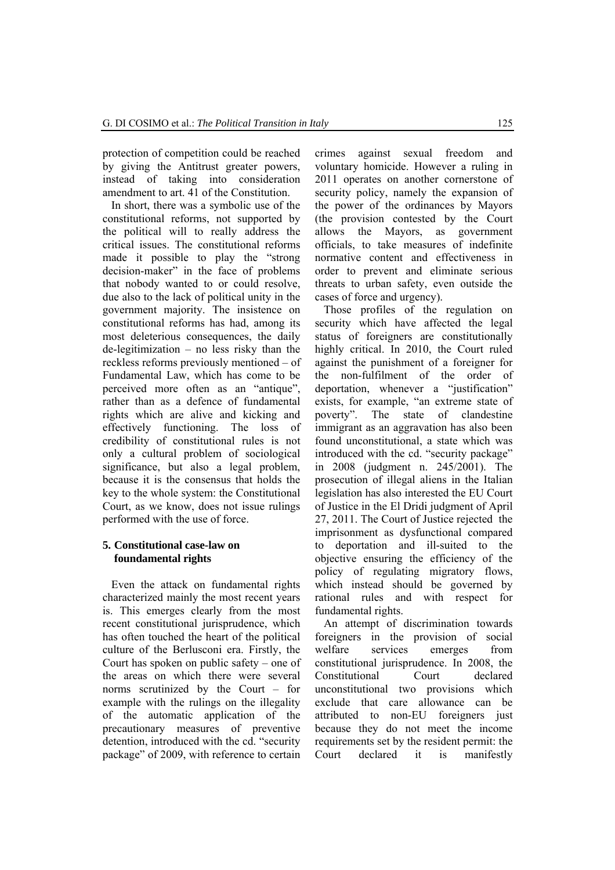protection of competition could be reached by giving the Antitrust greater powers, instead of taking into consideration amendment to art. 41 of the Constitution.

In short, there was a symbolic use of the constitutional reforms, not supported by the political will to really address the critical issues. The constitutional reforms made it possible to play the "strong decision-maker" in the face of problems that nobody wanted to or could resolve, due also to the lack of political unity in the government majority. The insistence on constitutional reforms has had, among its most deleterious consequences, the daily de-legitimization – no less risky than the reckless reforms previously mentioned – of Fundamental Law, which has come to be perceived more often as an "antique", rather than as a defence of fundamental rights which are alive and kicking and effectively functioning. The loss of credibility of constitutional rules is not only a cultural problem of sociological significance, but also a legal problem, because it is the consensus that holds the key to the whole system: the Constitutional Court, as we know, does not issue rulings performed with the use of force.

## **5. Constitutional case-law on foundamental rights**

Even the attack on fundamental rights characterized mainly the most recent years is. This emerges clearly from the most recent constitutional jurisprudence, which has often touched the heart of the political culture of the Berlusconi era. Firstly, the Court has spoken on public safety – one of the areas on which there were several norms scrutinized by the Court – for example with the rulings on the illegality of the automatic application of the precautionary measures of preventive detention, introduced with the cd. "security package" of 2009, with reference to certain crimes against sexual freedom and voluntary homicide. However a ruling in 2011 operates on another cornerstone of security policy, namely the expansion of the power of the ordinances by Mayors (the provision contested by the Court allows the Mayors, as government officials, to take measures of indefinite normative content and effectiveness in order to prevent and eliminate serious threats to urban safety, even outside the cases of force and urgency).

Those profiles of the regulation on security which have affected the legal status of foreigners are constitutionally highly critical. In 2010, the Court ruled against the punishment of a foreigner for the non-fulfilment of the order of deportation, whenever a "justification" exists, for example, "an extreme state of poverty". The state of clandestine immigrant as an aggravation has also been found unconstitutional, a state which was introduced with the cd. "security package" in 2008 (judgment n. 245/2001). The prosecution of illegal aliens in the Italian legislation has also interested the EU Court of Justice in the El Dridi judgment of April 27, 2011. The Court of Justice rejected the imprisonment as dysfunctional compared to deportation and ill-suited to the objective ensuring the efficiency of the policy of regulating migratory flows, which instead should be governed by rational rules and with respect for fundamental rights.

An attempt of discrimination towards foreigners in the provision of social welfare services emerges from constitutional jurisprudence. In 2008, the Constitutional Court declared unconstitutional two provisions which exclude that care allowance can be attributed to non-EU foreigners just because they do not meet the income requirements set by the resident permit: the Court declared it is manifestly